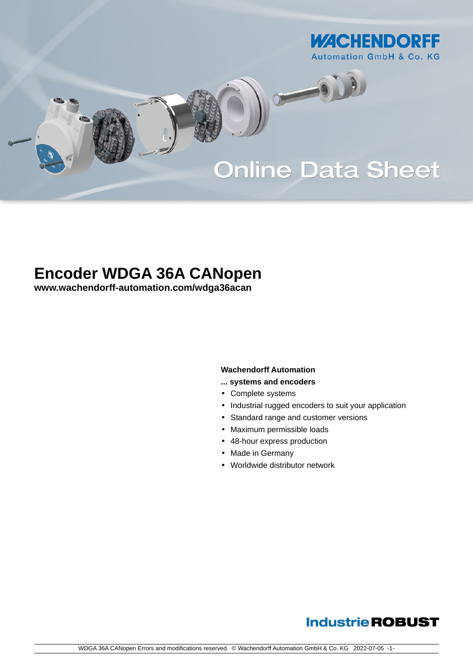

# **Online Data Sheet**

O

# **Encoder WDGA 36A CANopen**

**[www.wachendorff-automation.com/wdga36acan](https://www.wachendorff-automation.com/wdga36acan)**

#### **Wachendorff Automation**

- **... systems and encoders**
- Complete systems
- Industrial rugged encoders to suit your application
- Standard range and customer versions
- Maximum permissible loads
- 48-hour express production
- Made in Germany
- Worldwide distributor network

### **Industrie ROBUST**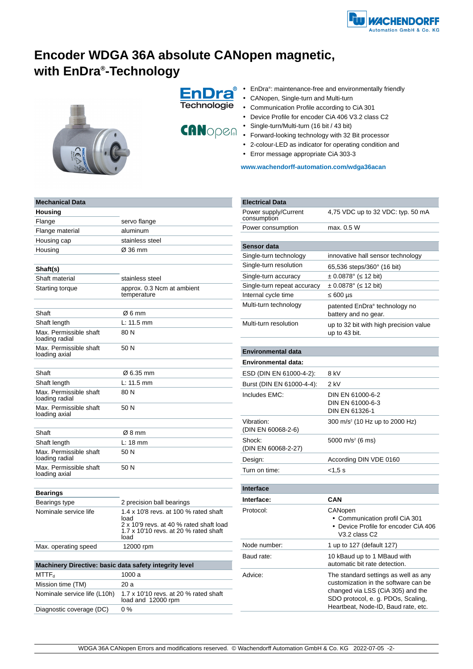

## **Encoder WDGA 36A absolute CANopen magnetic, with EnDra® -Technology**



**EnDra** Technologie



- EnDra<sup>®</sup>: maintenance-free and environmentally friendly
- •CANopen, Single-turn and Multi-turn
- •Communication Profile according to CiA 301
- •Device Profile for encoder CiA 406 V3.2 class C2
- Single-turn/Multi-turn (16 bit / 43 bit)
- Forward-looking technology with 32 Bit processor
- 2-colour-LED as indicator for operating condition and
- Error message appropriate CiA 303-3

**[www.wachendorff-automation.com/wdga36acan](https://www.wachendorff-automation.com/wdga36acan)**

#### **Mechanical Data Housing** Flange servo flange Flange material aluminum Housing cap stainless steel Housing Ø 36 mm **Shaft(s)** Shaft material stainless steel Starting torque approx. 0.3 Ncm at ambient temperature Shaft  $\oslash$  6 mm Shaft length L: 11.5 mm Max. Permissible shaft loading radial 80 N Max. Permissible shaft loading axial 50 N Shaft  $\%$  6.35 mm Shaft length L: 11.5 mm Max. Permissible shaft loading radial 80 N Max. Permissible shaft loading axial 50 N Shaft  $\oslash$  8 mm Shaft length L: 18 mm Max. Permissible shaft loading radial 50 N Max. Permissible shaft loading axial 50 N **Bearings** Bearings type 2 precision ball bearings Nominale service life 1.4 x 10'8 revs. at 100 % rated shaft load 2 x 10'9 revs. at 40 % rated shaft load 1.7 x 10'10 revs. at 20 % rated shaft load Max. operating speed 12000 rpm **Machinery Directive: basic data safety integrity level**  $MTTF_d$  1000 a Mission time (TM) 20 a Nominale service life (L10h) 1.7 x 10'10 revs. at 20 % rated shaft load and 12000 rpm

Diagnostic coverage (DC) 0 %

| <b>Electrical Data</b>              |                                                                                                                                                                                                |  |
|-------------------------------------|------------------------------------------------------------------------------------------------------------------------------------------------------------------------------------------------|--|
| Power supply/Current<br>consumption | 4,75 VDC up to 32 VDC: typ. 50 mA                                                                                                                                                              |  |
| Power consumption                   | max. 0.5 W                                                                                                                                                                                     |  |
|                                     |                                                                                                                                                                                                |  |
| Sensor data                         |                                                                                                                                                                                                |  |
| Single-turn technology              | innovative hall sensor technology                                                                                                                                                              |  |
| Single-turn resolution              | 65,536 steps/360° (16 bit)                                                                                                                                                                     |  |
| Single-turn accuracy                | $\pm$ 0.0878° ( 12 bit)                                                                                                                                                                        |  |
| Single-turn repeat accuracy         | $\pm$ 0.0878° ( 12 bit)                                                                                                                                                                        |  |
| Internal cycle time                 | $600 \mu s$                                                                                                                                                                                    |  |
| Multi-turn technology               | patented EnDra <sup>®</sup> technology no<br>battery and no gear.                                                                                                                              |  |
| Multi-turn resolution               | up to 32 bit with high precision value<br>up to 43 bit.                                                                                                                                        |  |
| <b>Environmental data</b>           |                                                                                                                                                                                                |  |
| <b>Environmental data:</b>          |                                                                                                                                                                                                |  |
| ESD (DIN EN 61000-4-2):             | 8 kV                                                                                                                                                                                           |  |
| Burst (DIN EN 61000-4-4):           | $2$ kV                                                                                                                                                                                         |  |
| Includes EMC:                       | DIN EN 61000-6-2<br>DIN EN 61000-6-3<br>DIN EN 61326-1                                                                                                                                         |  |
| Vibration:<br>(DIN EN 60068-2-6)    | 300 m/s <sup>2</sup> (10 Hz up to 2000 Hz)                                                                                                                                                     |  |
| Shock:<br>(DIN EN 60068-2-27)       | 5000 m/s <sup>2</sup> (6 ms)                                                                                                                                                                   |  |
| Design:                             | According DIN VDE 0160                                                                                                                                                                         |  |
| Turn on time:                       | <1,5 s                                                                                                                                                                                         |  |
|                                     |                                                                                                                                                                                                |  |
| <b>Interface</b>                    |                                                                                                                                                                                                |  |
| Interface:                          | CAN                                                                                                                                                                                            |  |
| Protocol:                           | CANopen<br>• Communication profil CiA 301<br>• Device Profile for encoder CiA 406<br>V3.2 class C2                                                                                             |  |
| Node number:                        | 1 up to 127 (default 127)                                                                                                                                                                      |  |
| Baud rate:                          | 10 kBaud up to 1 MBaud with<br>automatic bit rate detection.                                                                                                                                   |  |
| Advice:                             | The standard settings as well as any<br>customization in the software can be<br>changed via LSS (CiA 305) and the<br>SDO protocol, e. g. PDOs, Scaling,<br>Heartbeat, Node-ID, Baud rate, etc. |  |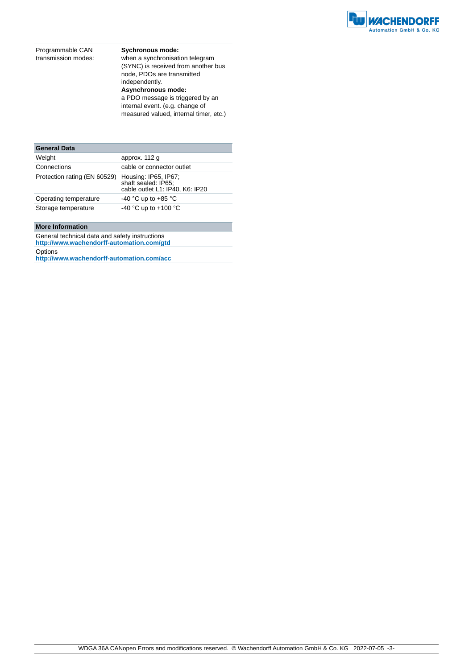

Programmable CAN transmission modes: **Sychronous mode:** when a synchronisation telegram (SYNC) is received from another bus node, PDOs are transmitted

independently. **Asynchronous mode:** a PDO message is triggered by an internal event. (e.g. change of measured valued, internal timer, etc.)

| approx. 112 g                                                                  |
|--------------------------------------------------------------------------------|
| cable or connector outlet                                                      |
| Housing: IP65, IP67;<br>shaft sealed: IP65;<br>cable outlet L1: IP40, K6: IP20 |
| -40 °C up to +85 °C                                                            |
| -40 °C up to +100 °C                                                           |
|                                                                                |

#### **More Information**

General technical data and safety instructions **http://www.wachendorff-automation.com/gtd**

Options

**http://www.wachendorff-automation.com/acc**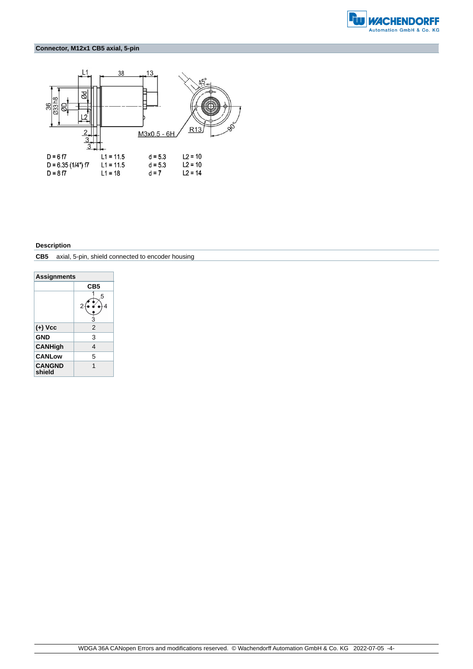

#### **Connector, M12x1 CB5 axial, 5-pin**



#### **Description**

**CB5** axial, 5-pin, shield connected to encoder housing

| <b>Assignments</b>      |                 |  |
|-------------------------|-----------------|--|
|                         | CB <sub>5</sub> |  |
|                         | 5               |  |
| (+) Vcc                 | 2               |  |
| <b>GND</b>              | 3               |  |
| <b>CANHigh</b>          | 4               |  |
| <b>CANLow</b>           | 5               |  |
| <b>CANGND</b><br>shield | 1               |  |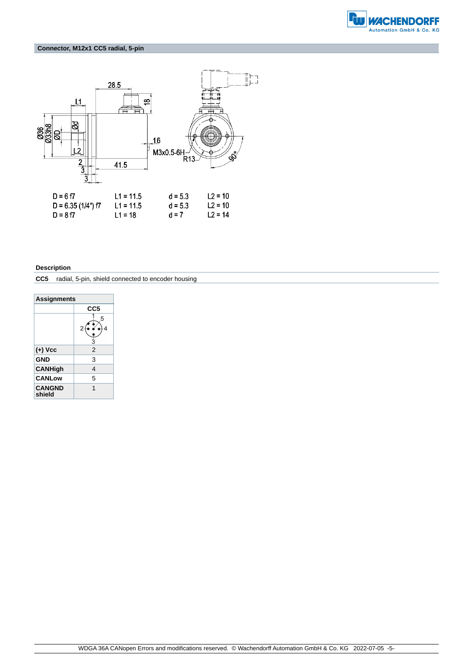

#### **Connector, M12x1 CC5 radial, 5-pin**



#### **Description**

**CC5** radial, 5-pin, shield connected to encoder housing

| <b>Assignments</b>      |        |  |
|-------------------------|--------|--|
|                         | CC5    |  |
|                         | 5<br>Ŕ |  |
| (+) Vcc                 | 2      |  |
| <b>GND</b>              | 3      |  |
| <b>CANHigh</b>          | 4      |  |
| <b>CANLow</b>           | 5      |  |
| <b>CANGND</b><br>shield | 1      |  |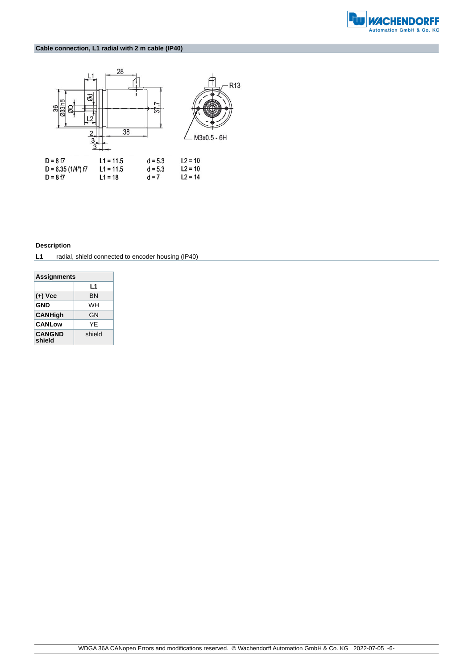

#### **Cable connection, L1 radial with 2 m cable (IP40)**



#### **Description**

#### **L1** radial, shield connected to encoder housing (IP40)

| <b>Assignments</b>      |        |  |
|-------------------------|--------|--|
|                         | L1     |  |
| (+) Vcc                 | BN     |  |
| <b>GND</b>              | WН     |  |
| <b>CANHigh</b>          | GΝ     |  |
| <b>CANLow</b>           | YF     |  |
| <b>CANGND</b><br>shield | shield |  |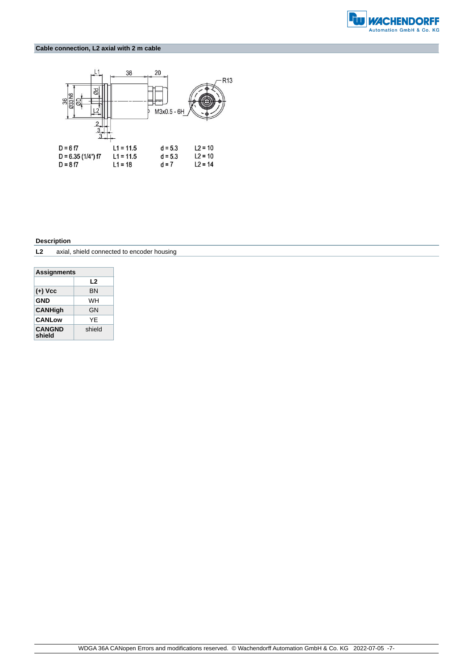

#### **Cable connection, L2 axial with 2 m cable**



#### **Description**

| L <sub>2</sub> | axial, shield connected to encoder housing |  |
|----------------|--------------------------------------------|--|
|----------------|--------------------------------------------|--|

| <b>Assignments</b>      |        |  |
|-------------------------|--------|--|
|                         | L2     |  |
| $(+)$ Vcc               | ΒN     |  |
| GND<br>WН               |        |  |
| <b>CANHigh</b>          | GN     |  |
| <b>CANLow</b>           | YF     |  |
| <b>CANGND</b><br>shield | shield |  |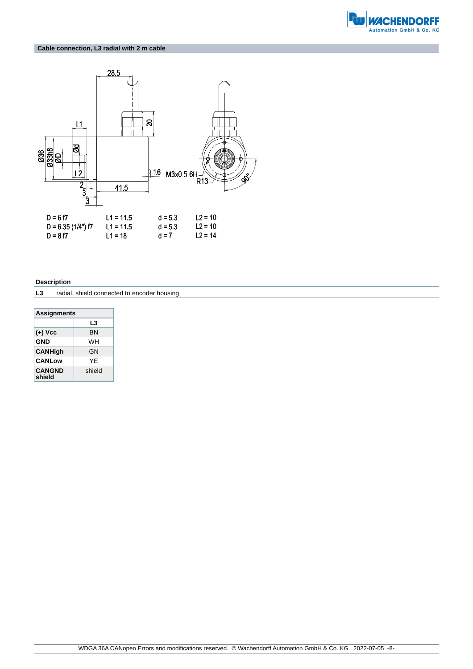

#### **Cable connection, L3 radial with 2 m cable**



#### **Description**

**L3** radial, shield connected to encoder housing

| <b>Assignments</b> |  |  |
|--------------------|--|--|
| L3                 |  |  |
| ΒN                 |  |  |
| WН                 |  |  |
| GΝ                 |  |  |
| YF                 |  |  |
| shield             |  |  |
|                    |  |  |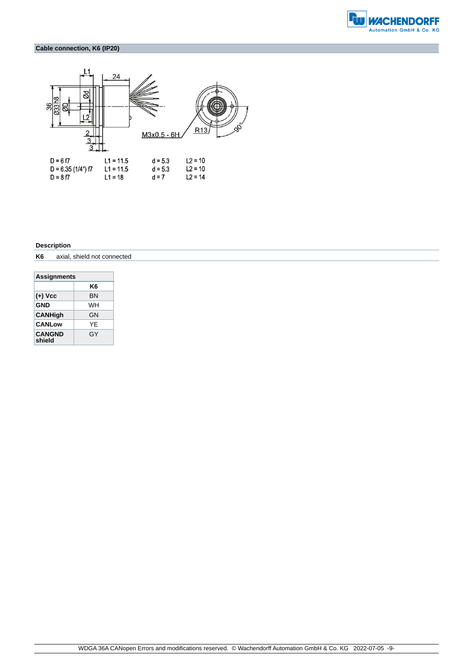

#### **Cable connection, K6 (IP20)**



#### **Description**

**K6** axial, shield not connected

| <b>Assignments</b>      |    |  |  |
|-------------------------|----|--|--|
|                         | K6 |  |  |
| (+) Vcc                 | ΒN |  |  |
| <b>GND</b>              | WН |  |  |
| <b>CANHigh</b>          | GΝ |  |  |
| <b>CANLow</b>           | YF |  |  |
| <b>CANGND</b><br>shield | GY |  |  |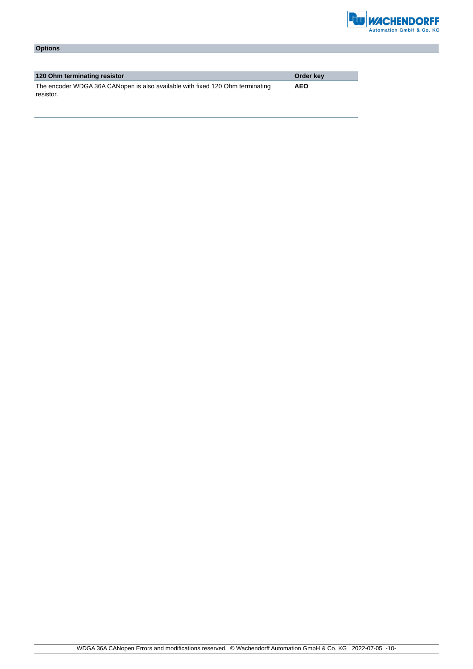

| <b>Options</b> |  |  |  |
|----------------|--|--|--|
|----------------|--|--|--|

| 120 Ohm terminating resistor                                                  | Order key  |
|-------------------------------------------------------------------------------|------------|
| The encoder WDGA 36A CANopen is also available with fixed 120 Ohm terminating | <b>AEO</b> |
| resistor.                                                                     |            |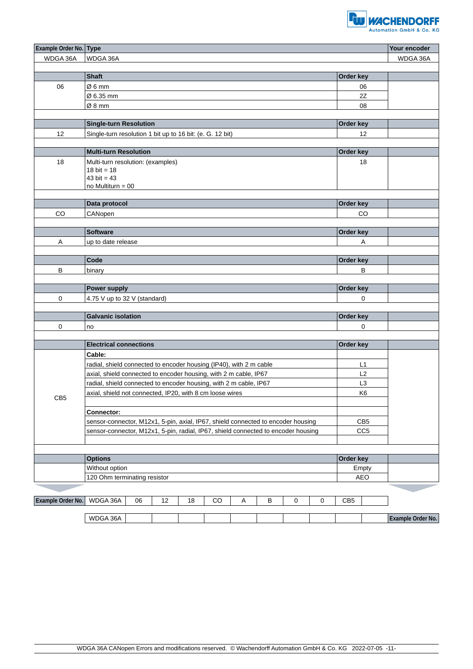

| Example Order No. Type     | Your encoder                                                                      |                 |          |
|----------------------------|-----------------------------------------------------------------------------------|-----------------|----------|
| WDGA 36A                   | WDGA 36A                                                                          |                 | WDGA 36A |
|                            |                                                                                   |                 |          |
|                            | <b>Shaft</b>                                                                      | Order key       |          |
| 06                         | Ø6mm                                                                              | 06              |          |
|                            | Ø 6.35 mm                                                                         | 2Z              |          |
|                            | Ø8 mm                                                                             | 08              |          |
|                            |                                                                                   |                 |          |
|                            | <b>Single-turn Resolution</b>                                                     | Order key       |          |
| 12                         | Single-turn resolution 1 bit up to 16 bit: (e. G. 12 bit)                         | 12              |          |
|                            | <b>Multi-turn Resolution</b>                                                      | Order key       |          |
|                            |                                                                                   |                 |          |
| 18                         | Multi-turn resolution: (examples)<br>18 bit = $18$                                | 18              |          |
|                            | 43 bit = $43$                                                                     |                 |          |
|                            | no Multiturn = $00$                                                               |                 |          |
|                            |                                                                                   |                 |          |
|                            | Data protocol                                                                     | Order key       |          |
| CO                         | CANopen                                                                           | CO              |          |
|                            |                                                                                   |                 |          |
|                            | <b>Software</b>                                                                   | Order key       |          |
| Α                          | up to date release                                                                | Α               |          |
|                            |                                                                                   |                 |          |
|                            | Code                                                                              | Order key       |          |
| В                          | binary                                                                            | B               |          |
|                            |                                                                                   |                 |          |
|                            | Power supply                                                                      | Order key       |          |
| 0                          | 4.75 V up to 32 V (standard)                                                      | 0               |          |
|                            |                                                                                   |                 |          |
|                            | <b>Galvanic isolation</b>                                                         | Order key       |          |
| 0                          | no                                                                                | 0               |          |
|                            | <b>Electrical connections</b>                                                     | Order key       |          |
|                            | Cable:                                                                            |                 |          |
|                            | radial, shield connected to encoder housing (IP40), with 2 m cable                | L1              |          |
|                            | axial, shield connected to encoder housing, with 2 m cable, IP67                  | L2              |          |
|                            | radial, shield connected to encoder housing, with 2 m cable, IP67                 | L <sub>3</sub>  |          |
|                            | axial, shield not connected, IP20, with 8 cm loose wires                          | K <sub>6</sub>  |          |
| CB <sub>5</sub>            |                                                                                   |                 |          |
|                            | Connector:                                                                        |                 |          |
|                            | sensor-connector, M12x1, 5-pin, axial, IP67, shield connected to encoder housing  | CB <sub>5</sub> |          |
|                            | sensor-connector, M12x1, 5-pin, radial, IP67, shield connected to encoder housing | CC <sub>5</sub> |          |
|                            |                                                                                   |                 |          |
|                            |                                                                                   |                 |          |
|                            | <b>Options</b>                                                                    | Order key       |          |
|                            | Without option                                                                    | Empty           |          |
|                            | 120 Ohm terminating resistor                                                      | AEO             |          |
|                            |                                                                                   |                 |          |
| Example Order No. WDGA 36A | $_{\rm CO}$<br>06<br>12<br>18<br>$\mathsf A$<br>B<br>$\pmb{0}$<br>$\pmb{0}$       | CB5             |          |

| <b>MDGA</b><br>36A<br>. |  |  |  |  |  | <b><i>Charles Company</i></b><br>er No<br>—Xampie≡ |
|-------------------------|--|--|--|--|--|----------------------------------------------------|